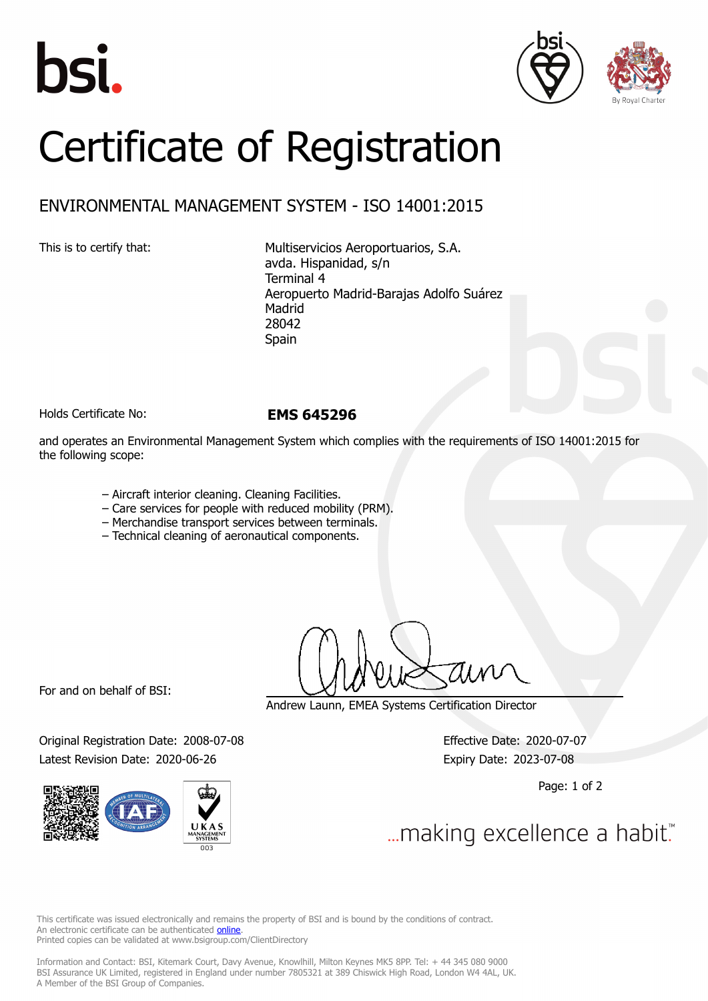





## Certificate of Registration

## ENVIRONMENTAL MANAGEMENT SYSTEM - ISO 14001:2015

This is to certify that: Multiservicios Aeroportuarios, S.A. avda. Hispanidad, s/n Terminal 4 Aeropuerto Madrid-Barajas Adolfo Suárez Madrid 28042 Spain

Holds Certificate No: **EMS 645296**

and operates an Environmental Management System which complies with the requirements of ISO 14001:2015 for the following scope:

- ‒ Aircraft interior cleaning. Cleaning Facilities.
- ‒ Care services for people with reduced mobility (PRM).
- ‒ Merchandise transport services between terminals.
- ‒ Technical cleaning of aeronautical components.

For and on behalf of BSI:

Original Registration Date: 2008-07-08 Effective Date: 2020-07-07 Latest Revision Date: 2020-06-26 **Expiry Date: 2023-07-08** 



Andrew Launn, EMEA Systems Certification Director

Page: 1 of 2

... making excellence a habit."

This certificate was issued electronically and remains the property of BSI and is bound by the conditions of contract. An electronic certificate can be authenticated **[online](https://pgplus.bsigroup.com/CertificateValidation/CertificateValidator.aspx?CertificateNumber=EMS+645296&ReIssueDate=26%2f06%2f2020&Template=cemea_en)**. Printed copies can be validated at www.bsigroup.com/ClientDirectory

Information and Contact: BSI, Kitemark Court, Davy Avenue, Knowlhill, Milton Keynes MK5 8PP. Tel: + 44 345 080 9000 BSI Assurance UK Limited, registered in England under number 7805321 at 389 Chiswick High Road, London W4 4AL, UK. A Member of the BSI Group of Companies.